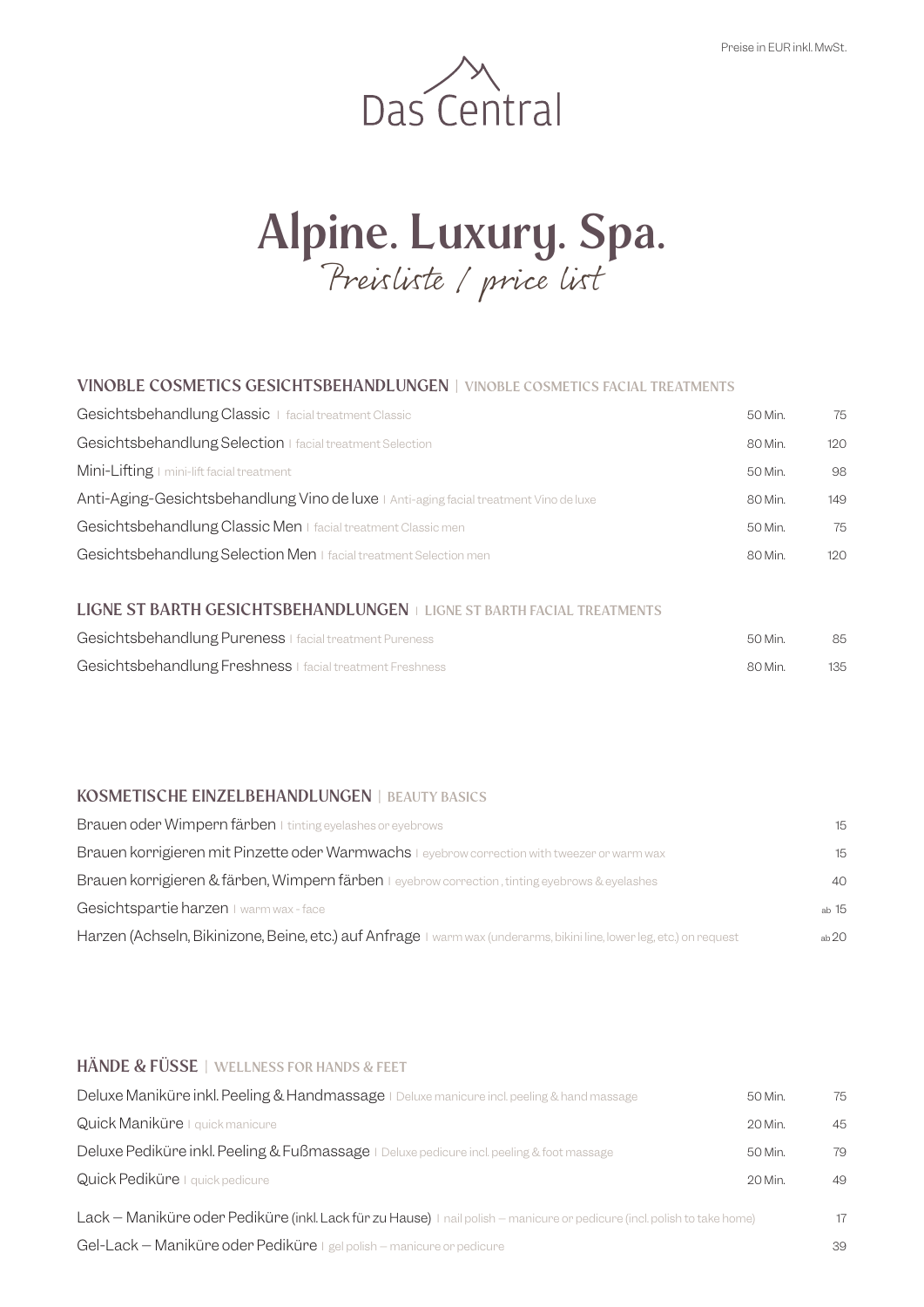

# **Alpine. Luxury. Spa.** Preisliste / price list

### **VINOBLE COSMETICS GESICHTSBEHANDLUNGEN | VINOBLE COSMETICS FACIAL TREATMENTS**

| Gesichtsbehandlung Classic   facial treatment Classic                                 | 50 Min. | 75  |
|---------------------------------------------------------------------------------------|---------|-----|
| Gesichtsbehandlung Selection   facial treatment Selection                             | 80 Min. | 120 |
| Mini-Lifting I mini-lift facial treatment                                             | 50 Min. | 98  |
| Anti-Aging-Gesichtsbehandlung Vino de luxe   Anti-aging facial treatment Vino de luxe | 80 Min. | 149 |
| Gesichtsbehandlung Classic Men I facial treatment Classic men                         | 50 Min. | 75  |
| Gesichtsbehandlung Selection Men   facial treatment Selection men                     | 80 Min. | 120 |
|                                                                                       |         |     |

### **LIGNE ST BARTH GESICHTSBEHANDLUNGEN** I **LIGNE ST BARTH FACIAL TREATMENTS**

| Gesichtsbehandlung Pureness   facial treatment Pureness   | 50 Min. |     |
|-----------------------------------------------------------|---------|-----|
| Gesichtsbehandlung Freshness   facial treatment Freshness | 80 Min. | 135 |

### **KOSMETISCHE EINZELBEHANDLUNGEN | BEAUTY BASICS**

| Brauen oder Wimpern färben I tinting eyelashes or eyebrows                                                            | 15    |
|-----------------------------------------------------------------------------------------------------------------------|-------|
| Brauen korrigieren mit Pinzette oder Warmwachs I eyebrow correction with tweezer or warm wax                          | 15    |
| <b>Brauen korrigieren &amp; färben, Wimpern färben</b> I eyebrow correction, tinting eyebrows & eyelashes             | 40    |
| Gesichtspartie harzen I warm wax - face                                                                               | ab 15 |
| Harzen (Achseln, Bikinizone, Beine, etc.) auf Anfrage I warm wax (underarms, bikini line, lower leg, etc.) on request | ab20  |

## **HÄNDE & FÜSSE | WELLNESS FOR HANDS & FEET**

| Deluxe Maniküre inkl. Peeling & Handmassage   Deluxe manicure incl. peeling & hand massage                               | 50 Min. | 75 |
|--------------------------------------------------------------------------------------------------------------------------|---------|----|
| Quick Maniküre   quick manicure                                                                                          | 20 Min. | 45 |
| Deluxe Pediküre inkl. Peeling & Fußmassage   Deluxe pedicure incl. peeling & foot massage                                | 50 Min. | 79 |
| Quick Pediküre   quick pedicure                                                                                          | 20 Min. | 49 |
| Lack - Maniküre oder Pediküre (inkl. Lack für zu Hause) I nail polish - manicure or pedicure (incl. polish to take home) |         | 17 |
| Gel-Lack - Maniküre oder Pediküre I gel polish - manicure or pedicure                                                    |         | 39 |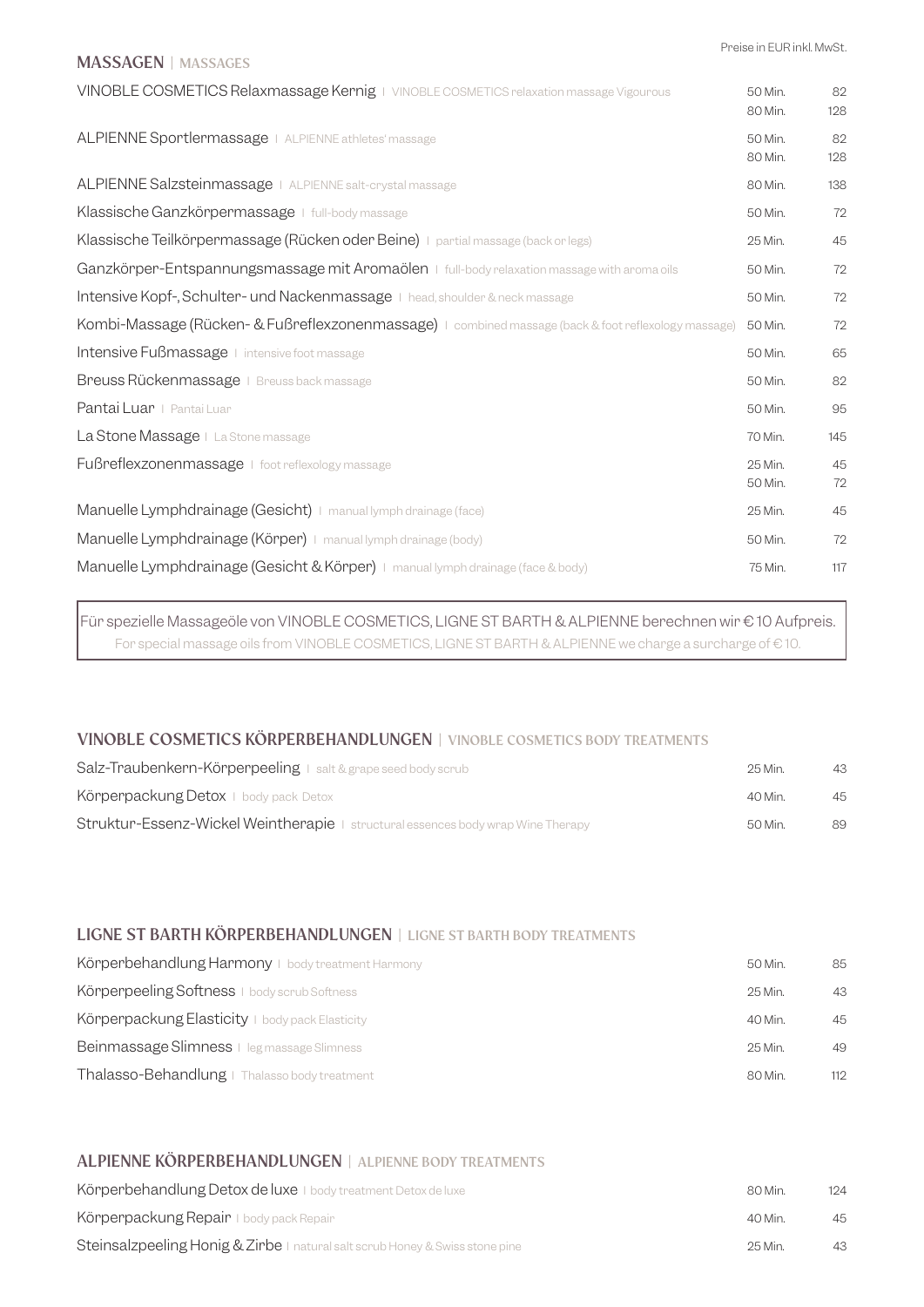# **MASSAGEN | MASSAGES** VINOBLE COSMETICS Relaxmassage Kernig | VINOBLE COSMETICS relaxation massage Vigourous 50 Min. 82 80 Min. 128 ALPIENNE Sportlermassage I ALPIENNE athletes' massage 50 Min. 50 Min. 32 80 Min. 128 ALPIENNE Salzsteinmassage | ALPIENNE salt-crystal massage 80 Min. 138 Klassische Ganzkörpermassage I full-body massage 50 Min. 50 Min. 50 Min. 50 Min. 50 Min. 50 Min. 50 Min. 50 Min Klassische Teilkörpermassage (Rücken oder Beine) | partial massage (back or legs) 25 Min. 25 Min. 25 Min. 25 Min Ganzkörper-Entspannungsmassage mit Aromaölen | full-body relaxation massage with aroma oils 50 Min. 72 Intensive Kopf-, Schulter- und Nackenmassage I head, shoulder & neck massage 50 Min. 50 Min. 72 Kombi-Massage (Rücken- & Fußreflexzonenmassage) | combined massage (back & foot reflexology massage) 50 Min. 72 **Intensive Fußmassage** I intensive foot massage 50 Min. 65 Breuss Rückenmassage I Breuss back massage 50 Min. 50 Min. 32 Pantai Luar I Pantai Luar 1956, a chuid anns an t-an-chuid anns an t-an-chuid anns an t-an-chuid anns an t-an-

La Stone Massage I La Stone massage 120 Min. 145 Fußreflexzonenmassage I foot reflexology massage 25 Min. <sup>45</sup> 50 Min. 72 Manuelle Lymphdrainage (Gesicht) | manual lymph drainage (face) 25 Min. 25 Min. 45 Manuelle Lymphdrainage (Körper) | manual lymph drainage (body) 50 Min. 50 Min. 52 Manuelle Lymphdrainage (Gesicht & Körper) | manual lymph drainage (face & body) 75 Min. 117

Für spezielle Massageöle von VINOBLE COSMETICS, LIGNE ST BARTH & ALPIENNE berechnen wir € 10 Aufpreis. For special massage oils from VINOBLE COSMETICS, LIGNE ST BARTH & ALPIENNE we charge a surcharge of € 10.

#### **VINOBLE COSMETICS KÖRPERBEHANDLUNGEN | VINOBLE COSMETICS BODY TREATMENTS**

| Salz-Traubenkern-Körperpeeling   salt & grape seed body scrub                           | 25 Min. | 43 |
|-----------------------------------------------------------------------------------------|---------|----|
| Körperpackung Detox   body pack Detox                                                   | 40 Min. | 45 |
| <b>Struktur-Essenz-Wickel Weintherapie</b>   structural essences body wrap Wine Therapy | 50 Min. | 89 |

#### **LIGNE ST BARTH KÖRPERBEHANDLUNGEN | LIGNE ST BARTH BODY TREATMENTS**

| Körperbehandlung Harmony   body treatment Harmony | 50 Min. | 85  |
|---------------------------------------------------|---------|-----|
| Körperpeeling Softness   body scrub Softness      | 25 Min. | 43  |
| Körperpackung Elasticity   body pack Elasticity   | 40 Min. | 45  |
| Beinmassage Slimness   leg massage Slimness       | 25 Min. | 49  |
| Thalasso-Behandlung   Thalasso body treatment     | 80 Min. | 112 |

#### **ALPIENNE KÖRPERBEHANDLUNGEN | ALPIENNE BODY TREATMENTS**

| Körperbehandlung Detox de luxe   body treatment Detox de luxe                | 80 Min   | 124 |
|------------------------------------------------------------------------------|----------|-----|
| Körperpackung Repair I body pack Repair                                      | $40$ Min | 45  |
| Steinsalzpeeling Honig & Zirbe I natural salt scrub Honey & Swiss stone pine | 25 Min.  | 43. |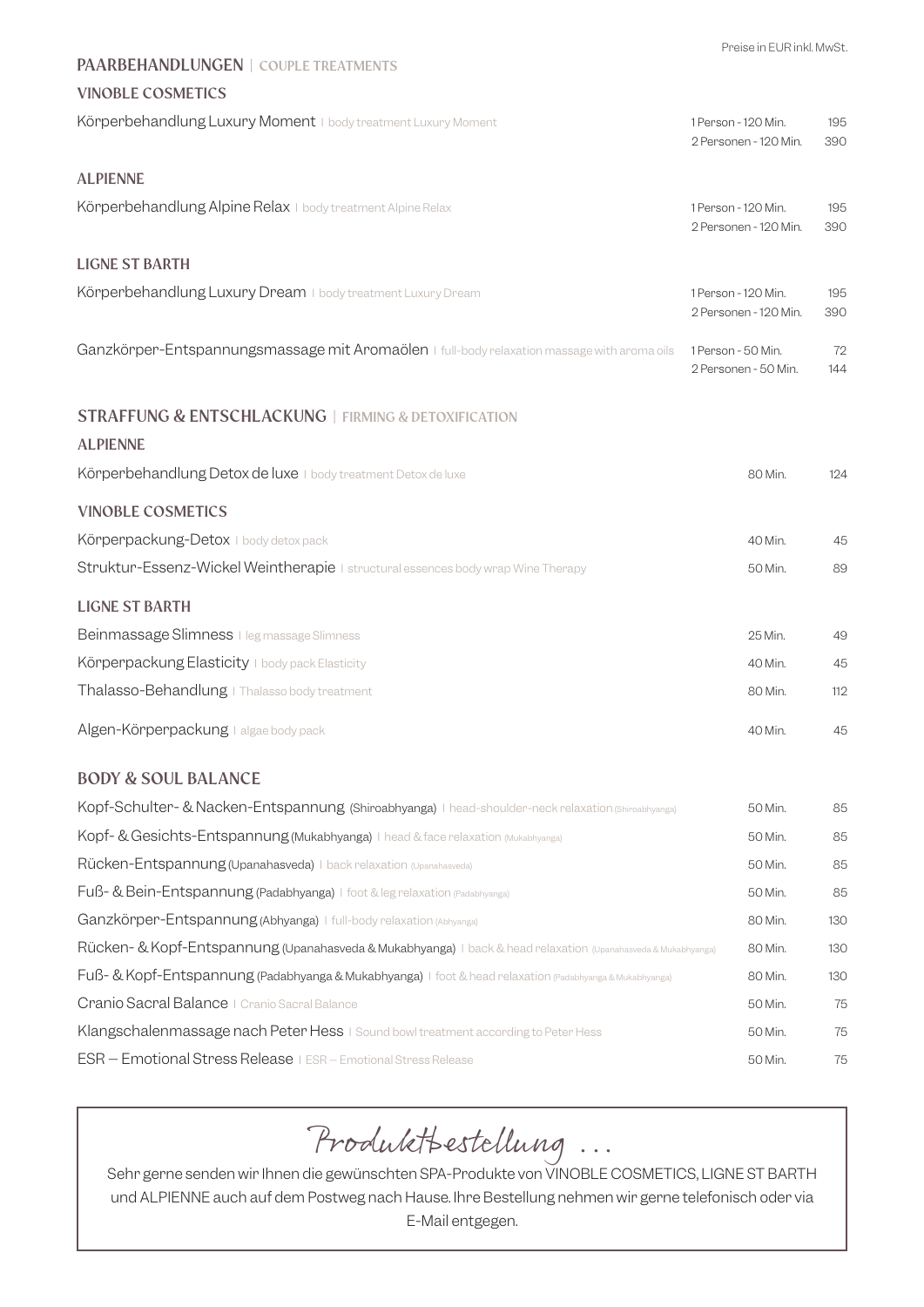|                                                                                                               | Preise in EUR inkl. MwSt.                    |            |
|---------------------------------------------------------------------------------------------------------------|----------------------------------------------|------------|
| PAARBEHANDLUNGEN   COUPLE TREATMENTS                                                                          |                                              |            |
| <b>VINOBLE COSMETICS</b>                                                                                      |                                              |            |
| Körperbehandlung Luxury Moment   body treatment Luxury Moment                                                 | 1 Person - 120 Min.<br>2 Personen - 120 Min. | 195<br>390 |
| <b>ALPIENNE</b>                                                                                               |                                              |            |
| Körperbehandlung Alpine Relax I body treatment Alpine Relax                                                   | 1 Person - 120 Min.<br>2 Personen - 120 Min. | 195<br>390 |
| <b>LIGNE ST BARTH</b>                                                                                         |                                              |            |
| Körperbehandlung Luxury Dream I body treatment Luxury Dream                                                   | 1 Person - 120 Min.<br>2 Personen - 120 Min. | 195<br>390 |
| Ganzkörper-Entspannungsmassage mit Aromaölen   full-body relaxation massage with aroma oils                   | 1 Person - 50 Min.<br>2 Personen - 50 Min.   | 72<br>144  |
| <b>STRAFFUNG &amp; ENTSCHLACKUNG   FIRMING &amp; DETOXIFICATION</b>                                           |                                              |            |
| <b>ALPIENNE</b>                                                                                               |                                              |            |
| Körperbehandlung Detox de luxe   body treatment Detox de luxe                                                 | 80 Min.                                      | 124        |
| <b>VINOBLE COSMETICS</b>                                                                                      |                                              |            |
| Körperpackung-Detox I body detox pack                                                                         | 40 Min.                                      | 45         |
| Struktur-Essenz-Wickel Weintherapie   structural essences body wrap Wine Therapy                              | 50 Min.                                      | 89         |
| <b>LIGNE ST BARTH</b>                                                                                         |                                              |            |
| Beinmassage Slimness   leg massage Slimness                                                                   | 25 Min.                                      | 49         |
| Körperpackung Elasticity I body pack Elasticity                                                               | 40 Min.                                      | 45         |
| Thalasso-Behandlung   Thalasso body treatment                                                                 | 80 Min.                                      | 112        |
| Algen-Körperpackung   algae body pack                                                                         | 40 Min.                                      | 45         |
| <b>BODY &amp; SOUL BALANCE</b>                                                                                |                                              |            |
| Kopf-Schulter- & Nacken-Entspannung (Shiroabhyanga) I head-shoulder-neck relaxation (Shiroabhyanga)           | 50 Min.                                      | 85         |
| Kopf- & Gesichts-Entspannung (Mukabhyanga) I head & face relaxation (Mukabhyanga)                             | 50 Min.                                      | 85         |
| Rücken-Entspannung (Upanahasveda) I back relaxation (Upanahasveda)                                            | 50 Min.                                      | 85         |
| Fuß- & Bein-Entspannung (Padabhyanga)   foot & leg relaxation (Padabhyanga)                                   | 50 Min.                                      | 85         |
| Ganzkörper-Entspannung (Abhyanga)   full-body relaxation (Abhyanga)                                           | 80 Min.                                      | 130        |
| Rücken- & Kopf-Entspannung (Upanahasveda & Mukabhyanga)   back & head relaxation (Upanahasveda & Mukabhyanga) | 80 Min.                                      | 130        |
| Fuß- & Kopf-Entspannung (Padabhyanga & Mukabhyanga)   foot & head relaxation (Padabhyanga & Mukabhyanga)      | 80 Min.                                      | 130        |
| Cranio Sacral Balance   Cranio Sacral Balance                                                                 | 50 Min.                                      | 75         |
| Klangschalenmassage nach Peter Hess   Sound bowl treatment according to Peter Hess                            | 50 Min.                                      | 75         |
| ESR - Emotional Stress Release   ESR - Emotional Stress Release                                               | 50 Min.                                      | 75         |

# Produktbestellung ...

Sehr gerne senden wir Ihnen die gewünschten SPA-Produkte von VINOBLE COSMETICS, LIGNE ST BARTH und ALPIENNE auch auf dem Postweg nach Hause. Ihre Bestellung nehmen wir gerne telefonisch oder via E-Mail entgegen.